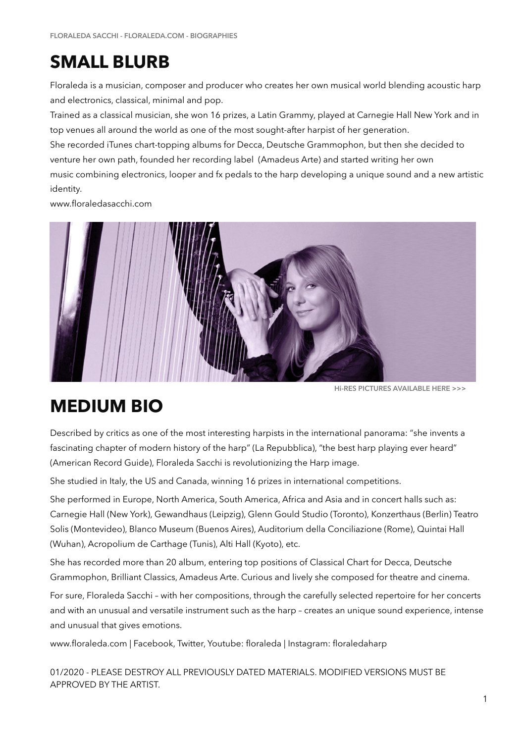## **SMALL BLURB**

Floraleda is a musician, composer and producer who creates her own musical world blending acoustic harp and electronics, classical, minimal and pop.

Trained as a classical musician, she won 16 prizes, a Latin Grammy, played at Carnegie Hall New York and in top venues all around the world as one of the most sought-after harpist of her generation.

She recorded iTunes chart-topping albums for Decca, Deutsche Grammophon, but then she decided to venture her own path, founded her recording label (Amadeus Arte) and started writing her own music combining electronics, looper and fx pedals to the harp developing a unique sound and a new artistic identity.

www.floraledasacchi.com



**Hi-RES PICTURES AVAILABLE [HERE >>>](http://floraledasacchi.com/floraleda-press-photo.zip)**

## **MEDIUM BIO**

Described by critics as one of the most interesting harpists in the international panorama: "she invents a fascinating chapter of modern history of the harp" (La Repubblica), "the best harp playing ever heard" (American Record Guide), Floraleda Sacchi is revolutionizing the Harp image.

She studied in Italy, the US and Canada, winning 16 prizes in international competitions.

She performed in Europe, North America, South America, Africa and Asia and in concert halls such as: Carnegie Hall (New York), Gewandhaus (Leipzig), Glenn Gould Studio (Toronto), Konzerthaus (Berlin) Teatro Solis (Montevideo), Blanco Museum (Buenos Aires), Auditorium della Conciliazione (Rome), Quintai Hall (Wuhan), Acropolium de Carthage (Tunis), Alti Hall (Kyoto), etc.

She has recorded more than 20 album, entering top positions of Classical Chart for Decca, Deutsche Grammophon, Brilliant Classics, Amadeus Arte. Curious and lively she composed for theatre and cinema.

For sure, Floraleda Sacchi – with her compositions, through the carefully selected repertoire for her concerts and with an unusual and versatile instrument such as the harp – creates an unique sound experience, intense and unusual that gives emotions.

www.floraleda.com | Facebook, Twitter, Youtube: floraleda | Instagram: floraledaharp

01/2020 - PLEASE DESTROY ALL PREVIOUSLY DATED MATERIALS. MODIFIED VERSIONS MUST BE APPROVED BY THE ARTIST.